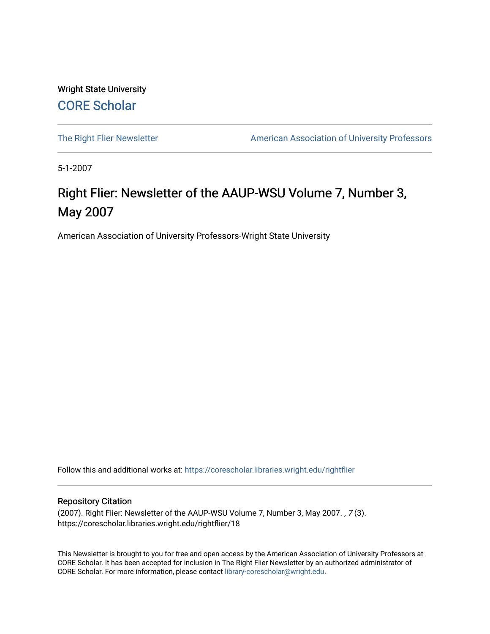Wright State University [CORE Scholar](https://corescholar.libraries.wright.edu/)

[The Right Flier Newsletter](https://corescholar.libraries.wright.edu/rightflier) **American Association of University Professors** 

5-1-2007

## Right Flier: Newsletter of the AAUP-WSU Volume 7, Number 3, May 2007

American Association of University Professors-Wright State University

Follow this and additional works at: [https://corescholar.libraries.wright.edu/rightflier](https://corescholar.libraries.wright.edu/rightflier?utm_source=corescholar.libraries.wright.edu%2Frightflier%2F18&utm_medium=PDF&utm_campaign=PDFCoverPages) 

#### Repository Citation

(2007). Right Flier: Newsletter of the AAUP-WSU Volume 7, Number 3, May 2007. , 7 (3). https://corescholar.libraries.wright.edu/rightflier/18

This Newsletter is brought to you for free and open access by the American Association of University Professors at CORE Scholar. It has been accepted for inclusion in The Right Flier Newsletter by an authorized administrator of CORE Scholar. For more information, please contact [library-corescholar@wright.edu](mailto:library-corescholar@wright.edu).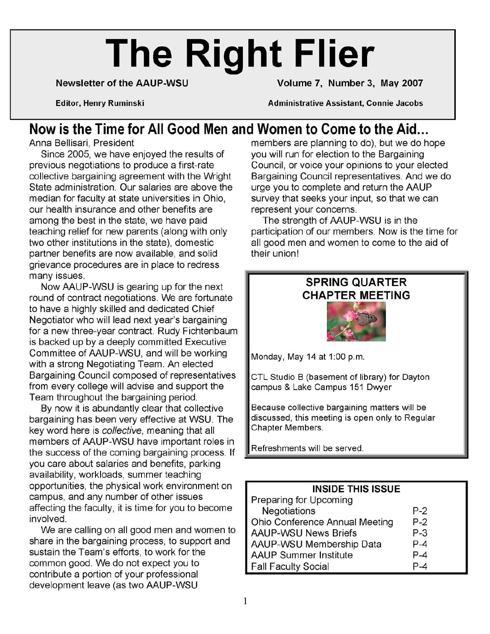# **The Right Flier**

Newsletter of the AAUP-WSU Volume 7, Number 3, May 2007

Editor, Henry Ruminski Administrative Assistant, Connie Jacobs

# **Now is the Time for All Good Men and Women to Come to the Aid...**<br>Anna Bellisari, President **All Cood Men and Wome** members are planning to do), but we do h

Since 2005, we have enjoyed the results of previous negotiations to produce a first-rate collective bargaining agreement with the Wright State administration. Our salaries are above the median for faculty at state universities in Ohio, our health insurance and other benefits are among the best in the state, we have paid teaching relief for new parents (along with only two other institutions in the state), domestic partner benefits are now available, and solid grievance procedures are in place to redress many issues.

Now AAUP-WSU is gearing up for the next round of contract negotiations. We are fortunate to have a highly skilled and dedicated Chief Negotiator who will lead next year's bargaining for a new three-year contract. Rudy Fichtenbaum is backed up by a deeply committed Executive Committee of AAUP-WSU, and will be working with a strong Negotiating Team. An elected Bargaining Council composed of representatives from every college will advise and support the Team throughout the bargaining period.

By now it is abundantly clear that collective bargaining has been very effective at WSU. The key word here is collective, meaning that all members of AAUP-WSU have important roles in the success of the coming bargaining process. If you care about salaries and benefits, parking availability, workloads, summer teaching opportunities, the physical work environment on campus, and any number of other issues affecting the faculty, it is time for you to become involved.

We are calling on all good men and women to share in the bargaining process, to support and sustain the Team's efforts, to work for the common good. We do not expect you to contribute a portion of your professional development leave (as two AAUP-WSU

members are planning to do), but we do hope you will run for election to the Bargaining Council, or voice your opinions to your elected Bargaining Council representatives. And we do urge you to complete and return the AAUP survey that seeks your input, so that we can represent your concerns.

The strength of AAUP-WSU is in the participation of our members. Now is the time for all good men and women to come to the aid of their union!

### SPRING QUARTER CHAPTER MEETING

Monday, May 14 at 1:00 p.m.

CTL Studio B (basement of library) for Dayton campus & Lake Campus 151 Dwyer

Because collective bargaining matters will be discussed, this meeting is open only to Regular Chapter Members.

Refreshments will be served.

| <b>INSIDE THIS ISSUE</b>       |         |
|--------------------------------|---------|
| Preparing for Upcoming         |         |
| Negotiations                   | $P-2$   |
| Ohio Conference Annual Meeting | $P-2$   |
| <b>AAUP-WSU News Briefs</b>    | P-3     |
| AAUP-WSU Membership Data       | P-4     |
| <b>AAUP Summer Institute</b>   | $P - 4$ |
| <b>Fall Faculty Social</b>     |         |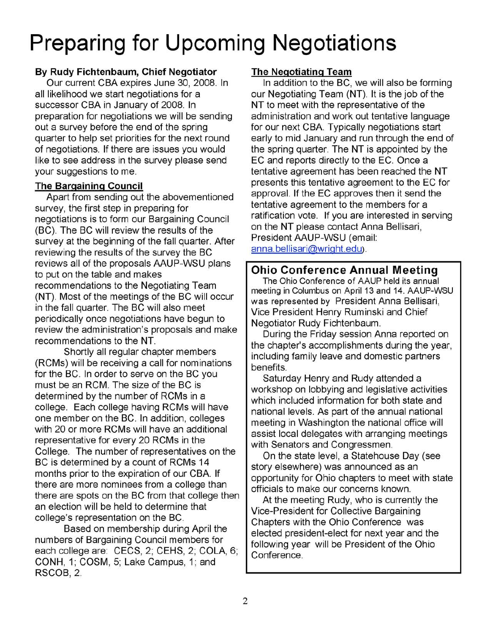# **Preparing for Upcoming Negotiations**

### **By Rudy Fichtenbaum, Chief Negotiator**

Our current CBA expires June 30, 2008. In all likelihood we start negotiations for a successor CBA in January of 2008. In preparation for negotiations we will be sending out a survey before the end of the spring quarter to help set priorities for the next round of negotiations. If there are issues you would like to see address in the survey please send your suggestions to me.

#### **The Bargaining Council**

Apart from sending out the abovementioned survey, the first step in preparing for negotiations is to form our Bargaining Council (BC). The BC will review the results of the survey at the beginning of the fall quarter. After reviewing the results of the survey the BC reviews all of the proposals AAUP-WSU plans to put on the table and makes recommendations to the Negotiating Team (NT). Most of the meetings of the BC will occur in the fall quarter. The BC will also meet periodically once negotiations have begun to review the administration's proposals and make recommendations to the **NT.** 

Shortly all regular chapter members (RCMs) will be receiving a call for nominations for the BC. In order to serve on the BC you must be an RCM. The size of the BC is determined by the number of RCMs in a college. Each college having RCMs will have one member on the BC. In addition, colleges with 20 or more RCMs will have an additional representative for every 20 RCMs in the College. The number of representatives on the BC is determined by a count of RCMs 14 months prior to the expiration of our CBA. If there are more nominees from a college than there are spots on the BC from that college then an election will be held to determine that college's representation on the BC.

Based on membership during April the numbers of Bargaining Council members for each college are: CECS, 2; CEHS, 2; COLA, 6; CONH, 1; COSM, 5; Lake Campus, 1; and RSCOB,2.

### **The Negotiating Team**

In addition to the BC, we will also be forming our Negotiating Team (NT). It is the job of the **NT** to meet with the representative of the administration and work out tentative language for our next CBA. Typically negotiations start early to mid January and run through the end of the spring quarter. The **NT** is appointed by the EC and reports directly to the EC. Once a tentative agreement has been reached the **NT**  presents this tentative agreement to the EC for approval. If the EC approves then it send the tentative agreement to the members for a ratification vote. If you are interested in serving on the **NT** please contact Anna Bellisari, President AAUP-WSU (email: anna.bellisari@wright.edu).

**Ohio Conference Annual Meeting** 

The Ohio Conference of AAUP held its annual meeting in Columbus on April 13 and 14. AAUP-WSU was represented by President Anna Bellisari, Vice President Henry Ruminski and Chief Negotiator Rudy Fichtenbaum.

During the Friday session Anna reported on the chapter's accomplishments during the year, including family leave and domestic partners benefits.

Saturday Henry and Rudy attended a workshop on lobbying and legislative activities which included information for both state and national levels. As part of the annual national meeting in Washington the national office will assist local delegates with arranging meetings with Senators and Congressmen.

On the state level, a Statehouse Day (see story elsewhere) was announced as an opportunity for Ohio chapters to meet with state officials to make our concerns known.

At the meeting Rudy, who is currently the Vice-President for Collective Bargaining Chapters with the Ohio Conference was elected president-elect for next year and the following year will be President of the Ohio Conference.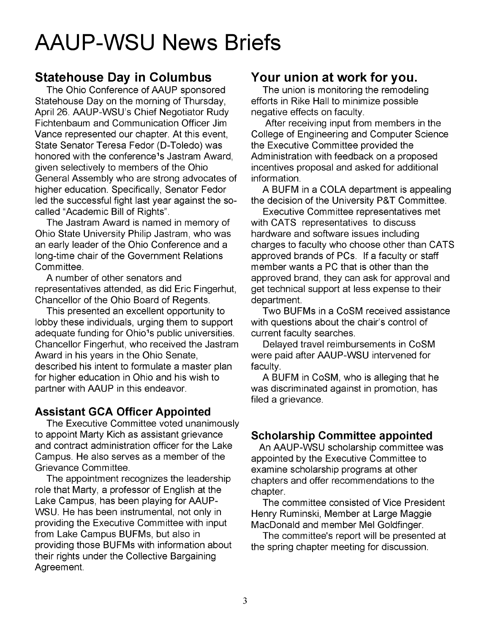# **AAUP-WSU News Briefs**

### **Statehouse Day in Columbus**

The Ohio Conference of AAUP sponsored Statehouse Day on the morning of Thursday, April 26. AAUP-WSU's Chief Negotiator Rudy Fichtenbaum and Communication Officer Jim Vance represented our chapter. At this event, State Senator Teresa Fedor (D-Toledo) was honored with the conference<sup>1</sup>s Jastram Award, given selectively to members of the Ohio General Assembly who are strong advocates of higher education. Specifically, Senator Fedor led the successful fight last year against the socalled "Academic Bill of Rights".

The Jastram Award is named in memory of Ohio State University Philip Jastram, who was an early leader of the Ohio Conference and a long-time chair of the Government Relations Committee.

A number of other senators and representatives attended, as did Eric Fingerhut, Chancellor of the Ohio Board of Regents.

This presented an excellent opportunity to lobby these individuals, urging them to support adequate funding for Ohio<sup>1</sup>s public universities. Chancellor Fingerhut, who received the Jastram Award in his years in the Ohio Senate, described his intent to formulate a master plan for higher education in Ohio and his wish to partner with AAUP in this endeavor.

### **Assistant GCA Officer Appointed**

The Executive Committee voted unanimously to appoint Marty Kich as assistant grievance and contract administration officer for the Lake Campus. He also serves as a member of the Grievance Committee.

The appointment recognizes the leadership role that Marty, a professor of English at the Lake Campus, has been playing for AAUP-WSU. He has been instrumental, not only in providing the Executive Committee with input from Lake Campus BUFMs, but also in providing those BUFMs with information about their rights under the Collective Bargaining Agreement.

### **Your union at work for you.**

The union is monitoring the remodeling efforts in Rike Hall to minimize possible negative effects on faculty.

After receiving input from members in the College of Engineering and Computer Science the Executive Committee provided the Administration with feedback on a proposed incentives proposal and asked for additional information.

A BUFM in a COLA department is appealing the decision of the University P&T Committee.

Executive Committee representatives met with CATS representatives to discuss hardware and software issues including charges to faculty who choose other than CATS approved brands of PCs. If a faculty or staff member wants a PC that is other than the approved brand, they can ask for approval and get technical support at less expense to their department.

Two BUFMs in a CoSM received assistance with questions about the chair's control of current faculty searches.

Delayed travel reimbursements in CoSM were paid after AAUP-WSU intervened for faculty.

A BUFM in CoSM, who is alleging that he was discriminated against in promotion, has filed a grievance.

### **Scholarship Committee appointed**

An AAUP-WSU scholarship committee was appointed by the Executive Committee to examine scholarship programs at other chapters and offer recommendations to the chapter.

The committee consisted of Vice President Henry Ruminski, Member at Large Maggie MacDonald and member Mel Goldfinger.

The committee's report will be presented at the spring chapter meeting for discussion.